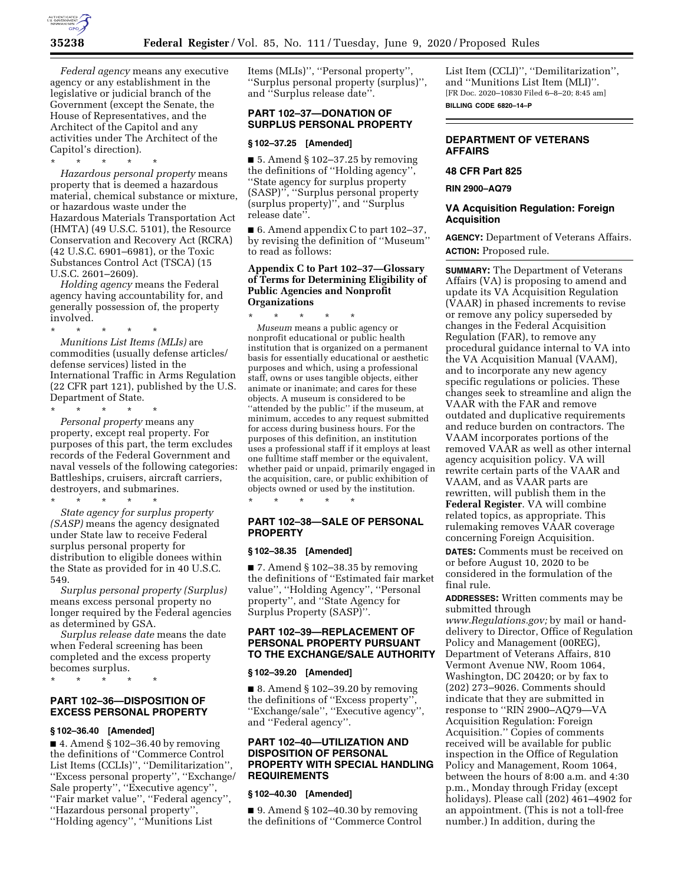

*Federal agency* means any executive agency or any establishment in the legislative or judicial branch of the Government (except the Senate, the House of Representatives, and the Architect of the Capitol and any activities under The Architect of the Capitol's direction).

\* \* \* \* \* *Hazardous personal property* means property that is deemed a hazardous material, chemical substance or mixture, or hazardous waste under the Hazardous Materials Transportation Act (HMTA) (49 U.S.C. 5101), the Resource Conservation and Recovery Act (RCRA) (42 U.S.C. 6901–6981), or the Toxic Substances Control Act (TSCA) (15 U.S.C. 2601–2609).

*Holding agency* means the Federal agency having accountability for, and generally possession of, the property involved.

\* \* \* \* \* *Munitions List Items (MLIs)* are commodities (usually defense articles/ defense services) listed in the International Traffic in Arms Regulation (22 CFR part 121), published by the U.S. Department of State.

\* \* \* \* \* *Personal property* means any property, except real property. For purposes of this part, the term excludes records of the Federal Government and naval vessels of the following categories: Battleships, cruisers, aircraft carriers, destroyers, and submarines. \* \* \* \* \*

*State agency for surplus property (SASP)* means the agency designated under State law to receive Federal surplus personal property for distribution to eligible donees within the State as provided for in 40 U.S.C. 549.

*Surplus personal property (Surplus)*  means excess personal property no longer required by the Federal agencies as determined by GSA.

*Surplus release date* means the date when Federal screening has been completed and the excess property becomes surplus.

\* \* \* \* \*

# **PART 102–36—DISPOSITION OF EXCESS PERSONAL PROPERTY**

## **§ 102–36.40 [Amended]**

 $\blacksquare$  4. Amend § 102-36.40 by removing the definitions of ''Commerce Control List Items (CCLIs)'', ''Demilitarization'', ''Excess personal property'', ''Exchange/ Sale property'', ''Executive agency'', ''Fair market value'', ''Federal agency'', ''Hazardous personal property'',

''Holding agency'', ''Munitions List

Items (MLIs)'', ''Personal property'', ''Surplus personal property (surplus)'', and ''Surplus release date''.

## **PART 102–37—DONATION OF SURPLUS PERSONAL PROPERTY**

#### **§ 102–37.25 [Amended]**

 $\blacksquare$  5. Amend § 102–37.25 by removing the definitions of ''Holding agency'', ''State agency for surplus property (SASP)'', ''Surplus personal property (surplus property)'', and ''Surplus release date''.

■ 6. Amend appendix C to part 102–37, by revising the definition of ''Museum'' to read as follows:

# **Appendix C to Part 102–37—Glossary of Terms for Determining Eligibility of Public Agencies and Nonprofit Organizations**

\* \* \* \* \* *Museum* means a public agency or nonprofit educational or public health institution that is organized on a permanent basis for essentially educational or aesthetic purposes and which, using a professional staff, owns or uses tangible objects, either animate or inanimate; and cares for these objects. A museum is considered to be "attended by the public" if the museum, at minimum, accedes to any request submitted for access during business hours. For the purposes of this definition, an institution uses a professional staff if it employs at least one fulltime staff member or the equivalent, whether paid or unpaid, primarily engaged in the acquisition, care, or public exhibition of objects owned or used by the institution. \* \* \* \* \*

**PART 102–38—SALE OF PERSONAL PROPERTY** 

## **§ 102–38.35 [Amended]**

■ 7. Amend § 102–38.35 by removing the definitions of ''Estimated fair market value'', ''Holding Agency'', ''Personal property'', and ''State Agency for Surplus Property (SASP)''.

# **PART 102–39—REPLACEMENT OF PERSONAL PROPERTY PURSUANT TO THE EXCHANGE/SALE AUTHORITY**

#### **§ 102–39.20 [Amended]**

 $\blacksquare$  8. Amend § 102–39.20 by removing the definitions of ''Excess property'', ''Exchange/sale'', ''Executive agency'', and ''Federal agency''.

## **PART 102–40—UTILIZATION AND DISPOSITION OF PERSONAL PROPERTY WITH SPECIAL HANDLING REQUIREMENTS**

### **§ 102–40.30 [Amended]**

 $\Box$  9. Amend § 102–40.30 by removing the definitions of ''Commerce Control List Item (CCLI)'', ''Demilitarization'', and ''Munitions List Item (MLI)''. [FR Doc. 2020–10830 Filed 6–8–20; 8:45 am] **BILLING CODE 6820–14–P** 

# **DEPARTMENT OF VETERANS AFFAIRS**

## **48 CFR Part 825**

**RIN 2900–AQ79** 

## **VA Acquisition Regulation: Foreign Acquisition**

**AGENCY:** Department of Veterans Affairs. **ACTION:** Proposed rule.

**SUMMARY:** The Department of Veterans Affairs (VA) is proposing to amend and update its VA Acquisition Regulation (VAAR) in phased increments to revise or remove any policy superseded by changes in the Federal Acquisition Regulation (FAR), to remove any procedural guidance internal to VA into the VA Acquisition Manual (VAAM), and to incorporate any new agency specific regulations or policies. These changes seek to streamline and align the VAAR with the FAR and remove outdated and duplicative requirements and reduce burden on contractors. The VAAM incorporates portions of the removed VAAR as well as other internal agency acquisition policy. VA will rewrite certain parts of the VAAR and VAAM, and as VAAR parts are rewritten, will publish them in the **Federal Register**. VA will combine related topics, as appropriate. This rulemaking removes VAAR coverage concerning Foreign Acquisition.

**DATES:** Comments must be received on or before August 10, 2020 to be considered in the formulation of the final rule.

**ADDRESSES:** Written comments may be submitted through *[www.Regulations.gov;](http://www.Regulations.gov)* by mail or handdelivery to Director, Office of Regulation Policy and Management (00REG), Department of Veterans Affairs, 810 Vermont Avenue NW, Room 1064, Washington, DC 20420; or by fax to (202) 273–9026. Comments should indicate that they are submitted in response to ''RIN 2900–AQ79—VA Acquisition Regulation: Foreign Acquisition.'' Copies of comments received will be available for public inspection in the Office of Regulation Policy and Management, Room 1064, between the hours of 8:00 a.m. and 4:30 p.m., Monday through Friday (except holidays). Please call (202) 461–4902 for an appointment. (This is not a toll-free number.) In addition, during the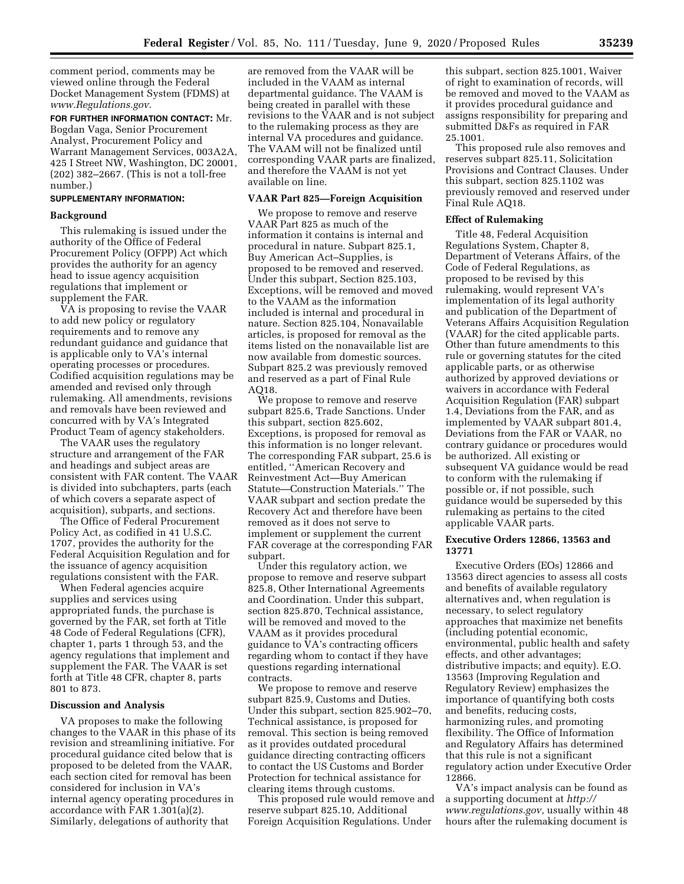comment period, comments may be viewed online through the Federal Docket Management System (FDMS) at *[www.Regulations.gov](http://www.Regulations.gov)*.

**FOR FURTHER INFORMATION CONTACT:** Mr. Bogdan Vaga, Senior Procurement Analyst, Procurement Policy and Warrant Management Services, 003A2A, 425 I Street NW, Washington, DC 20001, (202) 382–2667. (This is not a toll-free number.)

### **SUPPLEMENTARY INFORMATION:**

## **Background**

This rulemaking is issued under the authority of the Office of Federal Procurement Policy (OFPP) Act which provides the authority for an agency head to issue agency acquisition regulations that implement or supplement the FAR.

VA is proposing to revise the VAAR to add new policy or regulatory requirements and to remove any redundant guidance and guidance that is applicable only to VA's internal operating processes or procedures. Codified acquisition regulations may be amended and revised only through rulemaking. All amendments, revisions and removals have been reviewed and concurred with by VA's Integrated Product Team of agency stakeholders.

The VAAR uses the regulatory structure and arrangement of the FAR and headings and subject areas are consistent with FAR content. The VAAR is divided into subchapters, parts (each of which covers a separate aspect of acquisition), subparts, and sections.

The Office of Federal Procurement Policy Act, as codified in 41 U.S.C. 1707, provides the authority for the Federal Acquisition Regulation and for the issuance of agency acquisition regulations consistent with the FAR.

When Federal agencies acquire supplies and services using appropriated funds, the purchase is governed by the FAR, set forth at Title 48 Code of Federal Regulations (CFR), chapter 1, parts 1 through 53, and the agency regulations that implement and supplement the FAR. The VAAR is set forth at Title 48 CFR, chapter 8, parts 801 to 873.

#### **Discussion and Analysis**

VA proposes to make the following changes to the VAAR in this phase of its revision and streamlining initiative. For procedural guidance cited below that is proposed to be deleted from the VAAR, each section cited for removal has been considered for inclusion in VA's internal agency operating procedures in accordance with FAR 1.301(a)(2). Similarly, delegations of authority that

are removed from the VAAR will be included in the VAAM as internal departmental guidance. The VAAM is being created in parallel with these revisions to the VAAR and is not subject to the rulemaking process as they are internal VA procedures and guidance. The VAAM will not be finalized until corresponding VAAR parts are finalized, and therefore the VAAM is not yet available on line.

#### **VAAR Part 825—Foreign Acquisition**

We propose to remove and reserve VAAR Part 825 as much of the information it contains is internal and procedural in nature. Subpart 825.1, Buy American Act–Supplies, is proposed to be removed and reserved. Under this subpart, Section 825.103, Exceptions, will be removed and moved to the VAAM as the information included is internal and procedural in nature. Section 825.104, Nonavailable articles, is proposed for removal as the items listed on the nonavailable list are now available from domestic sources. Subpart 825.2 was previously removed and reserved as a part of Final Rule AQ18.

We propose to remove and reserve subpart 825.6, Trade Sanctions. Under this subpart, section 825.602, Exceptions, is proposed for removal as this information is no longer relevant. The corresponding FAR subpart, 25.6 is entitled, ''American Recovery and Reinvestment Act—Buy American Statute—Construction Materials.'' The VAAR subpart and section predate the Recovery Act and therefore have been removed as it does not serve to implement or supplement the current FAR coverage at the corresponding FAR subpart.

Under this regulatory action, we propose to remove and reserve subpart 825.8, Other International Agreements and Coordination. Under this subpart, section 825.870, Technical assistance, will be removed and moved to the VAAM as it provides procedural guidance to VA's contracting officers regarding whom to contact if they have questions regarding international contracts.

We propose to remove and reserve subpart 825.9, Customs and Duties. Under this subpart, section 825.902–70, Technical assistance, is proposed for removal. This section is being removed as it provides outdated procedural guidance directing contracting officers to contact the US Customs and Border Protection for technical assistance for clearing items through customs.

This proposed rule would remove and reserve subpart 825.10, Additional Foreign Acquisition Regulations. Under

this subpart, section 825.1001, Waiver of right to examination of records, will be removed and moved to the VAAM as it provides procedural guidance and assigns responsibility for preparing and submitted D&Fs as required in FAR 25.1001.

This proposed rule also removes and reserves subpart 825.11, Solicitation Provisions and Contract Clauses. Under this subpart, section 825.1102 was previously removed and reserved under Final Rule AQ18.

#### **Effect of Rulemaking**

Title 48, Federal Acquisition Regulations System, Chapter 8, Department of Veterans Affairs, of the Code of Federal Regulations, as proposed to be revised by this rulemaking, would represent VA's implementation of its legal authority and publication of the Department of Veterans Affairs Acquisition Regulation (VAAR) for the cited applicable parts. Other than future amendments to this rule or governing statutes for the cited applicable parts, or as otherwise authorized by approved deviations or waivers in accordance with Federal Acquisition Regulation (FAR) subpart 1.4, Deviations from the FAR, and as implemented by VAAR subpart 801.4, Deviations from the FAR or VAAR, no contrary guidance or procedures would be authorized. All existing or subsequent VA guidance would be read to conform with the rulemaking if possible or, if not possible, such guidance would be superseded by this rulemaking as pertains to the cited applicable VAAR parts.

## **Executive Orders 12866, 13563 and 13771**

Executive Orders (EOs) 12866 and 13563 direct agencies to assess all costs and benefits of available regulatory alternatives and, when regulation is necessary, to select regulatory approaches that maximize net benefits (including potential economic, environmental, public health and safety effects, and other advantages; distributive impacts; and equity). E.O. 13563 (Improving Regulation and Regulatory Review) emphasizes the importance of quantifying both costs and benefits, reducing costs, harmonizing rules, and promoting flexibility. The Office of Information and Regulatory Affairs has determined that this rule is not a significant regulatory action under Executive Order 12866.

VA's impact analysis can be found as a supporting document at *[http://](http://www.regulations.gov) [www.regulations.gov,](http://www.regulations.gov)* usually within 48 hours after the rulemaking document is